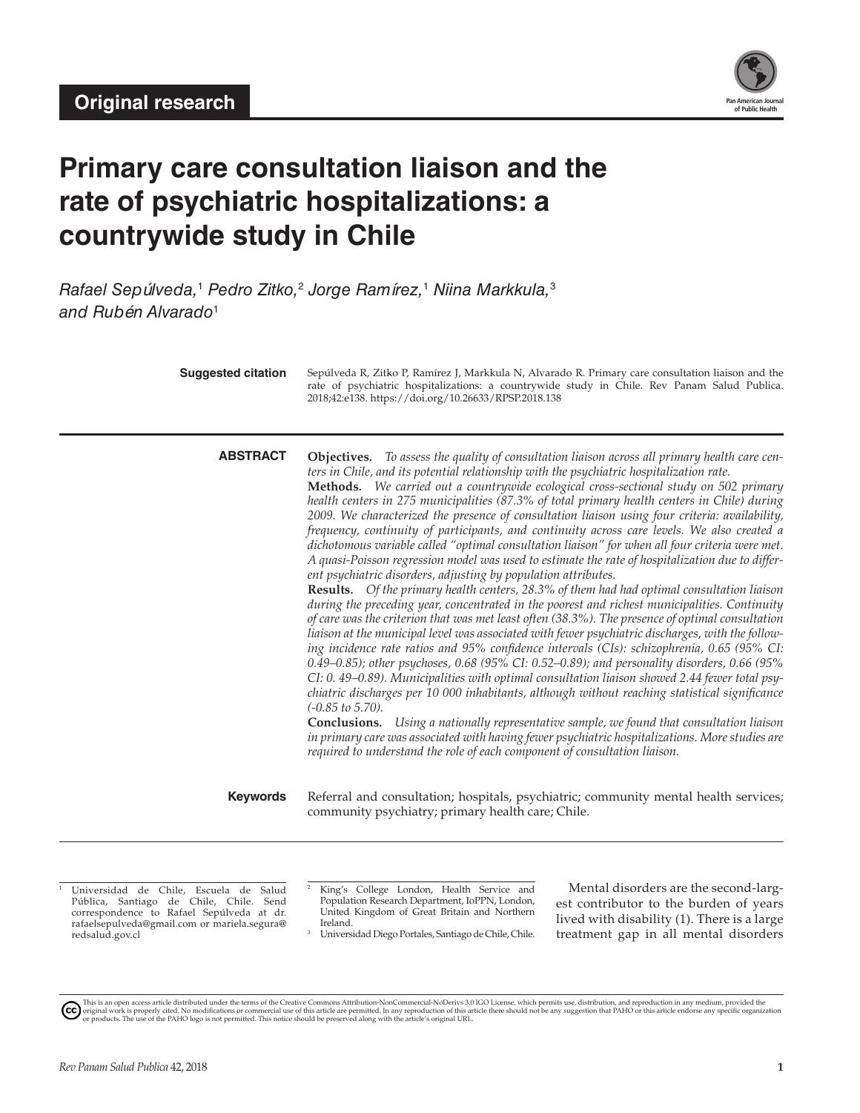

# **Primary care consultation liaison and the rate of psychiatric hospitalizations: a countrywide study in Chile**

*Rafael Sepúlveda,*<sup>1</sup>  *Pedro Zitko,*<sup>2</sup>  *Jorge Ramírez,*<sup>1</sup>  *Niina Markkula,*<sup>3</sup> *and Rubén Alvarado*<sup>1</sup>

|                 | rate of psychiatric hospitalizations: a countrywide study in Chile. Rev Panam Salud Publica.<br>2018;42:e138. https://doi.org/10.26633/RPSP.2018.138                                                                                                                                                                                                                                                                                                                                                                                                                                                                                                                                                                                                                                                                                                                                                                                                                                                                                                                                                                                                                                                                                                                                                                                                                                                                                                                                                                                                                                                                                                                                                                                                                                                                                                                                                                                                                                             |
|-----------------|--------------------------------------------------------------------------------------------------------------------------------------------------------------------------------------------------------------------------------------------------------------------------------------------------------------------------------------------------------------------------------------------------------------------------------------------------------------------------------------------------------------------------------------------------------------------------------------------------------------------------------------------------------------------------------------------------------------------------------------------------------------------------------------------------------------------------------------------------------------------------------------------------------------------------------------------------------------------------------------------------------------------------------------------------------------------------------------------------------------------------------------------------------------------------------------------------------------------------------------------------------------------------------------------------------------------------------------------------------------------------------------------------------------------------------------------------------------------------------------------------------------------------------------------------------------------------------------------------------------------------------------------------------------------------------------------------------------------------------------------------------------------------------------------------------------------------------------------------------------------------------------------------------------------------------------------------------------------------------------------------|
| <b>ABSTRACT</b> | Objectives. To assess the quality of consultation liaison across all primary health care cen-<br>ters in Chile, and its potential relationship with the psychiatric hospitalization rate.<br>Methods. We carried out a countrywide ecological cross-sectional study on 502 primary<br>health centers in 275 municipalities (87.3% of total primary health centers in Chile) during<br>2009. We characterized the presence of consultation liaison using four criteria: availability,<br>frequency, continuity of participants, and continuity across care levels. We also created a<br>dichotomous variable called "optimal consultation liaison" for when all four criteria were met.<br>A quasi-Poisson regression model was used to estimate the rate of hospitalization due to differ-<br>ent psychiatric disorders, adjusting by population attributes.<br><b>Results.</b> Of the primary health centers, 28.3% of them had had optimal consultation liaison<br>during the preceding year, concentrated in the poorest and richest municipalities. Continuity<br>of care was the criterion that was met least often (38.3%). The presence of optimal consultation<br>liaison at the municipal level was associated with fewer psychiatric discharges, with the follow-<br>ing incidence rate ratios and 95% confidence intervals (CIs): schizophrenia, 0.65 (95% CI:<br>0.49-0.85); other psychoses, 0.68 (95% CI: 0.52-0.89); and personality disorders, 0.66 (95%<br>CI: 0. 49-0.89). Municipalities with optimal consultation liaison showed 2.44 fewer total psy-<br>chiatric discharges per 10 000 inhabitants, although without reaching statistical significance<br>$(-0.85 \text{ to } 5.70).$<br><b>Conclusions.</b> Using a nationally representative sample, we found that consultation liaison<br>in primary care was associated with having fewer psychiatric hospitalizations. More studies are<br>required to understand the role of each component of consultation liaison. |
| <b>Keywords</b> | Referral and consultation; hospitals, psychiatric; community mental health services;<br>community psychiatry; primary health care; Chile.                                                                                                                                                                                                                                                                                                                                                                                                                                                                                                                                                                                                                                                                                                                                                                                                                                                                                                                                                                                                                                                                                                                                                                                                                                                                                                                                                                                                                                                                                                                                                                                                                                                                                                                                                                                                                                                        |
|                 |                                                                                                                                                                                                                                                                                                                                                                                                                                                                                                                                                                                                                                                                                                                                                                                                                                                                                                                                                                                                                                                                                                                                                                                                                                                                                                                                                                                                                                                                                                                                                                                                                                                                                                                                                                                                                                                                                                                                                                                                  |

<sup>1</sup> Universidad de Chile, Escuela de Salud Pública, Santiago de Chile, Chile. Send correspondence to Rafael Sepúlveda at [dr.](mailto:dr.rafaelsepulveda@gmail.com) [rafaelsepulveda@gmail.com](mailto:dr.rafaelsepulveda@gmail.com) or [mariela.segura@](mailto:mariela.segura@redsalud.gov.cl) [redsalud.gov.cl](mailto:mariela.segura@redsalud.gov.cl)

<sup>2</sup> King's College London, Health Service and Population Research Department, IoPPN, London, United Kingdom of Great Britain and Northern Ireland.

<sup>3</sup> Universidad Diego Portales, Santiago de Chile, Chile.

Mental disorders are the second-largest contributor to the burden of years lived with disability (1). There is a large treatment gap in all mental disorders

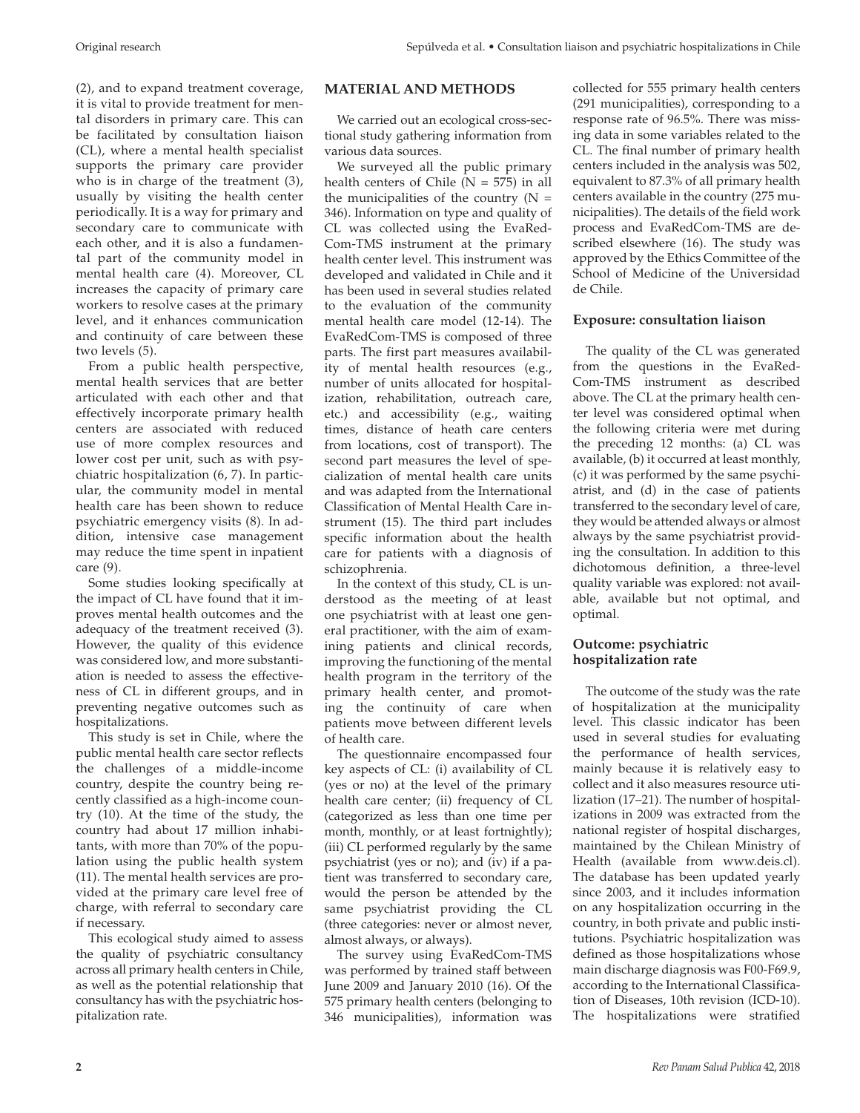(2), and to expand treatment coverage, it is vital to provide treatment for mental disorders in primary care. This can be facilitated by consultation liaison (CL), where a mental health specialist supports the primary care provider who is in charge of the treatment (3), usually by visiting the health center periodically. It is a way for primary and secondary care to communicate with each other, and it is also a fundamental part of the community model in mental health care (4). Moreover, CL increases the capacity of primary care workers to resolve cases at the primary level, and it enhances communication and continuity of care between these two levels (5).

From a public health perspective, mental health services that are better articulated with each other and that effectively incorporate primary health centers are associated with reduced use of more complex resources and lower cost per unit, such as with psychiatric hospitalization (6, 7). In particular, the community model in mental health care has been shown to reduce psychiatric emergency visits (8). In addition, intensive case management may reduce the time spent in inpatient care (9).

Some studies looking specifically at the impact of CL have found that it improves mental health outcomes and the adequacy of the treatment received (3). However, the quality of this evidence was considered low, and more substantiation is needed to assess the effectiveness of CL in different groups, and in preventing negative outcomes such as hospitalizations.

This study is set in Chile, where the public mental health care sector reflects the challenges of a middle-income country, despite the country being recently classified as a high-income country (10). At the time of the study, the country had about 17 million inhabitants, with more than 70% of the population using the public health system (11). The mental health services are provided at the primary care level free of charge, with referral to secondary care if necessary.

This ecological study aimed to assess the quality of psychiatric consultancy across all primary health centers in Chile, as well as the potential relationship that consultancy has with the psychiatric hospitalization rate.

## **MATERIAL AND METHODS**

We carried out an ecological cross-sectional study gathering information from various data sources.

We surveyed all the public primary health centers of Chile ( $N = 575$ ) in all the municipalities of the country  $(N =$ 346). Information on type and quality of CL was collected using the EvaRed-Com-TMS instrument at the primary health center level. This instrument was developed and validated in Chile and it has been used in several studies related to the evaluation of the community mental health care model (12-14). The EvaRedCom-TMS is composed of three parts. The first part measures availability of mental health resources (e.g., number of units allocated for hospitalization, rehabilitation, outreach care, etc.) and accessibility (e.g., waiting times, distance of heath care centers from locations, cost of transport). The second part measures the level of specialization of mental health care units and was adapted from the International Classification of Mental Health Care instrument (15). The third part includes specific information about the health care for patients with a diagnosis of schizophrenia.

In the context of this study, CL is understood as the meeting of at least one psychiatrist with at least one general practitioner, with the aim of examining patients and clinical records, improving the functioning of the mental health program in the territory of the primary health center, and promoting the continuity of care when patients move between different levels of health care.

The questionnaire encompassed four key aspects of CL: (i) availability of CL (yes or no) at the level of the primary health care center; (ii) frequency of CL (categorized as less than one time per month, monthly, or at least fortnightly); (iii) CL performed regularly by the same psychiatrist (yes or no); and (iv) if a patient was transferred to secondary care, would the person be attended by the same psychiatrist providing the CL (three categories: never or almost never, almost always, or always).

The survey using EvaRedCom-TMS was performed by trained staff between June 2009 and January 2010 (16). Of the 575 primary health centers (belonging to 346 municipalities), information was

collected for 555 primary health centers (291 municipalities), corresponding to a response rate of 96.5%. There was missing data in some variables related to the CL. The final number of primary health centers included in the analysis was 502, equivalent to 87.3% of all primary health centers available in the country (275 municipalities). The details of the field work process and EvaRedCom-TMS are described elsewhere (16). The study was approved by the Ethics Committee of the School of Medicine of the Universidad de Chile.

### **Exposure: consultation liaison**

The quality of the CL was generated from the questions in the EvaRed-Com-TMS instrument as described above. The CL at the primary health center level was considered optimal when the following criteria were met during the preceding 12 months: (a) CL was available, (b) it occurred at least monthly, (c) it was performed by the same psychiatrist, and (d) in the case of patients transferred to the secondary level of care, they would be attended always or almost always by the same psychiatrist providing the consultation. In addition to this dichotomous definition, a three-level quality variable was explored: not available, available but not optimal, and optimal.

### **Outcome: psychiatric hospitalization rate**

The outcome of the study was the rate of hospitalization at the municipality level. This classic indicator has been used in several studies for evaluating the performance of health services, mainly because it is relatively easy to collect and it also measures resource utilization (17–21). The number of hospitalizations in 2009 was extracted from the national register of hospital discharges, maintained by the Chilean Ministry of Health (available from [www.deis.cl\)](www.deis.cl). The database has been updated yearly since 2003, and it includes information on any hospitalization occurring in the country, in both private and public institutions. Psychiatric hospitalization was defined as those hospitalizations whose main discharge diagnosis was F00-F69.9, according to the International Classification of Diseases, 10th revision (ICD-10). The hospitalizations were stratified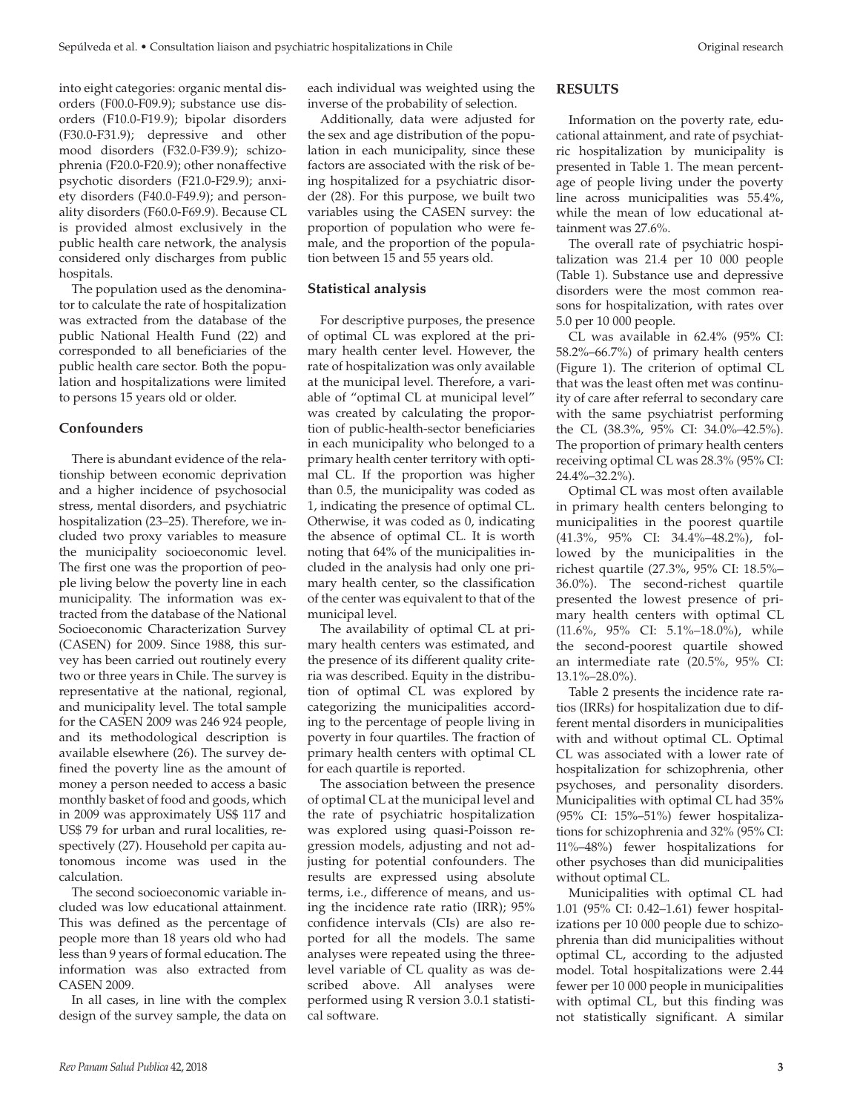into eight categories: organic mental disorders (F00.0-F09.9); substance use disorders (F10.0-F19.9); bipolar disorders (F30.0-F31.9); depressive and other mood disorders (F32.0-F39.9); schizophrenia (F20.0-F20.9); other nonaffective psychotic disorders (F21.0-F29.9); anxiety disorders (F40.0-F49.9); and personality disorders (F60.0-F69.9). Because CL is provided almost exclusively in the public health care network, the analysis considered only discharges from public hospitals.

The population used as the denominator to calculate the rate of hospitalization was extracted from the database of the public National Health Fund (22) and corresponded to all beneficiaries of the public health care sector. Both the population and hospitalizations were limited to persons 15 years old or older.

### **Confounders**

There is abundant evidence of the relationship between economic deprivation and a higher incidence of psychosocial stress, mental disorders, and psychiatric hospitalization (23–25). Therefore, we included two proxy variables to measure the municipality socioeconomic level. The first one was the proportion of people living below the poverty line in each municipality. The information was extracted from the database of the National Socioeconomic Characterization Survey (CASEN) for 2009. Since 1988, this survey has been carried out routinely every two or three years in Chile. The survey is representative at the national, regional, and municipality level. The total sample for the CASEN 2009 was 246 924 people, and its methodological description is available elsewhere (26). The survey defined the poverty line as the amount of money a person needed to access a basic monthly basket of food and goods, which in 2009 was approximately US\$ 117 and US\$ 79 for urban and rural localities, respectively (27). Household per capita autonomous income was used in the calculation.

The second socioeconomic variable included was low educational attainment. This was defined as the percentage of people more than 18 years old who had less than 9 years of formal education. The information was also extracted from CASEN 2009.

In all cases, in line with the complex design of the survey sample, the data on each individual was weighted using the inverse of the probability of selection.

Additionally, data were adjusted for the sex and age distribution of the population in each municipality, since these factors are associated with the risk of being hospitalized for a psychiatric disorder (28). For this purpose, we built two variables using the CASEN survey: the proportion of population who were female, and the proportion of the population between 15 and 55 years old.

#### **Statistical analysis**

For descriptive purposes, the presence of optimal CL was explored at the primary health center level. However, the rate of hospitalization was only available at the municipal level. Therefore, a variable of "optimal CL at municipal level" was created by calculating the proportion of public-health-sector beneficiaries in each municipality who belonged to a primary health center territory with optimal CL. If the proportion was higher than 0.5, the municipality was coded as 1, indicating the presence of optimal CL. Otherwise, it was coded as 0, indicating the absence of optimal CL. It is worth noting that 64% of the municipalities included in the analysis had only one primary health center, so the classification of the center was equivalent to that of the municipal level.

The availability of optimal CL at primary health centers was estimated, and the presence of its different quality criteria was described. Equity in the distribution of optimal CL was explored by categorizing the municipalities according to the percentage of people living in poverty in four quartiles. The fraction of primary health centers with optimal CL for each quartile is reported.

The association between the presence of optimal CL at the municipal level and the rate of psychiatric hospitalization was explored using quasi-Poisson regression models, adjusting and not adjusting for potential confounders. The results are expressed using absolute terms, i.e., difference of means, and using the incidence rate ratio (IRR); 95% confidence intervals (CIs) are also reported for all the models. The same analyses were repeated using the threelevel variable of CL quality as was described above. All analyses were performed using R version 3.0.1 statistical software.

#### **RESULTS**

Information on the poverty rate, educational attainment, and rate of psychiatric hospitalization by municipality is presented in Table 1. The mean percentage of people living under the poverty line across municipalities was 55.4%, while the mean of low educational attainment was 27.6%.

The overall rate of psychiatric hospitalization was 21.4 per 10 000 people (Table 1). Substance use and depressive disorders were the most common reasons for hospitalization, with rates over 5.0 per 10 000 people.

CL was available in 62.4% (95% CI: 58.2%–66.7%) of primary health centers (Figure 1). The criterion of optimal CL that was the least often met was continuity of care after referral to secondary care with the same psychiatrist performing the CL (38.3%, 95% CI: 34.0%–42.5%). The proportion of primary health centers receiving optimal CL was 28.3% (95% CI: 24.4%–32.2%).

Optimal CL was most often available in primary health centers belonging to municipalities in the poorest quartile (41.3%, 95% CI: 34.4%–48.2%), followed by the municipalities in the richest quartile (27.3%, 95% CI: 18.5%– 36.0%). The second-richest quartile presented the lowest presence of primary health centers with optimal CL (11.6%, 95% CI: 5.1%–18.0%), while the second-poorest quartile showed an intermediate rate (20.5%, 95% CI:  $13.1\% - 28.0\%$ ).

Table 2 presents the incidence rate ratios (IRRs) for hospitalization due to different mental disorders in municipalities with and without optimal CL. Optimal CL was associated with a lower rate of hospitalization for schizophrenia, other psychoses, and personality disorders. Municipalities with optimal CL had 35% (95% CI: 15%–51%) fewer hospitalizations for schizophrenia and 32% (95% CI: 11%–48%) fewer hospitalizations for other psychoses than did municipalities without optimal CL.

Municipalities with optimal CL had 1.01 (95% CI: 0.42–1.61) fewer hospitalizations per 10 000 people due to schizophrenia than did municipalities without optimal CL, according to the adjusted model. Total hospitalizations were 2.44 fewer per 10 000 people in municipalities with optimal CL, but this finding was not statistically significant. A similar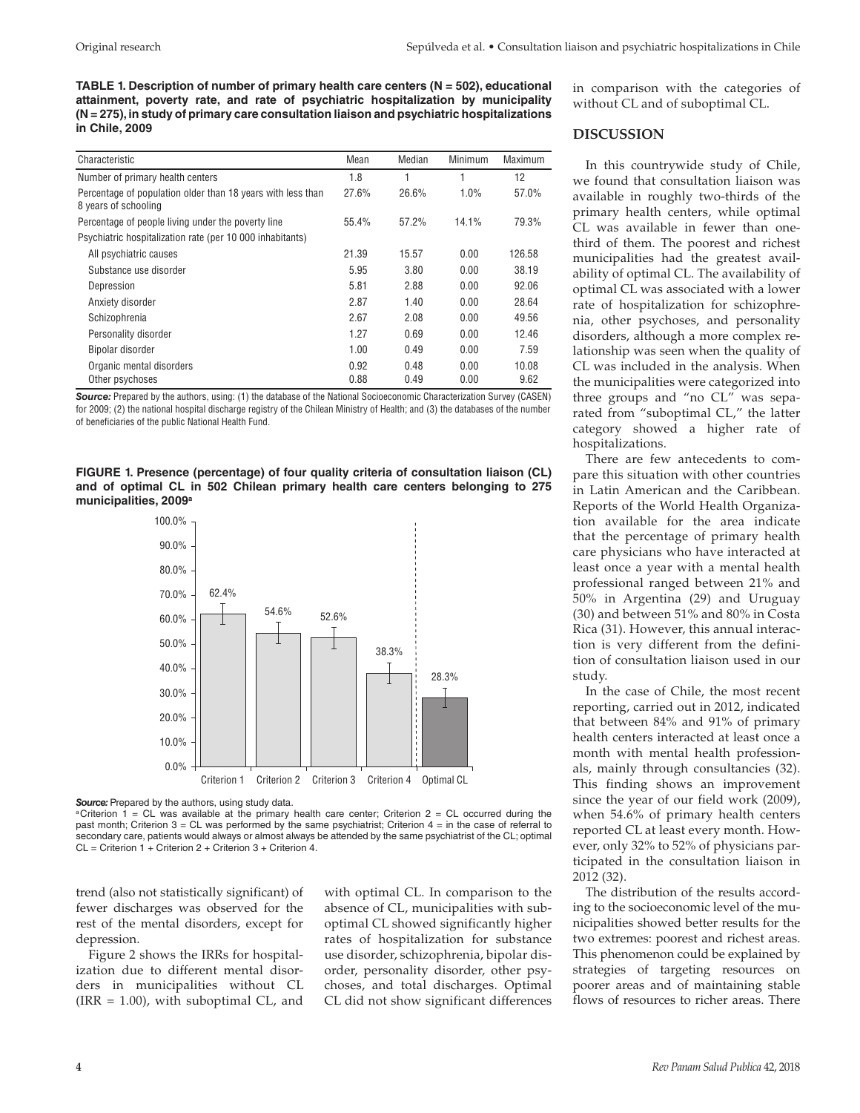**TABLE 1. Description of number of primary health care centers (N = 502), educational attainment, poverty rate, and rate of psychiatric hospitalization by municipality (N = 275), in study of primary care consultation liaison and psychiatric hospitalizations in Chile, 2009**

| Characteristic                                                                      | Mean  | Median | Minimum | Maximum |
|-------------------------------------------------------------------------------------|-------|--------|---------|---------|
| Number of primary health centers                                                    | 1.8   | 1      |         | 12      |
| Percentage of population older than 18 years with less than<br>8 years of schooling | 27.6% | 26.6%  | 1.0%    | 57.0%   |
| Percentage of people living under the poverty line                                  | 55.4% | 57.2%  | 14.1%   | 79.3%   |
| Psychiatric hospitalization rate (per 10 000 inhabitants)                           |       |        |         |         |
| All psychiatric causes                                                              | 21.39 | 15.57  | 0.00    | 126.58  |
| Substance use disorder                                                              | 5.95  | 3.80   | 0.00    | 38.19   |
| Depression                                                                          | 5.81  | 2.88   | 0.00    | 92.06   |
| Anxiety disorder                                                                    | 2.87  | 1.40   | 0.00    | 28.64   |
| Schizophrenia                                                                       | 2.67  | 2.08   | 0.00    | 49.56   |
| Personality disorder                                                                | 1.27  | 0.69   | 0.00    | 12.46   |
| Bipolar disorder                                                                    | 1.00  | 0.49   | 0.00    | 7.59    |
| Organic mental disorders                                                            | 0.92  | 0.48   | 0.00    | 10.08   |
| Other psychoses                                                                     | 0.88  | 0.49   | 0.00    | 9.62    |

**Source:** Prepared by the authors, using: (1) the database of the National Socioeconomic Characterization Survey (CASEN) for 2009; (2) the national hospital discharge registry of the Chilean Ministry of Health; and (3) the databases of the number of beneficiaries of the public National Health Fund.

**FIGURE 1. Presence (percentage) of four quality criteria of consultation liaison (CL) and of optimal CL in 502 Chilean primary health care centers belonging to 275 municipalities, 2009a**



Source: Prepared by the authors, using study data.

aCriterion 1 = CL was available at the primary health care center; Criterion  $2 = CL$  occurred during the past month; Criterion  $3 = CL$  was performed by the same psychiatrist; Criterion  $4 =$  in the case of referral to secondary care, patients would always or almost always be attended by the same psychiatrist of the CL; optimal CL = Criterion 1 + Criterion 2 + Criterion 3 + Criterion 4.

trend (also not statistically significant) of fewer discharges was observed for the rest of the mental disorders, except for depression.

Figure 2 shows the IRRs for hospitalization due to different mental disorders in municipalities without CL  $\text{(IRR = } 1.00)$ , with suboptimal CL, and with optimal CL. In comparison to the absence of CL, municipalities with suboptimal CL showed significantly higher rates of hospitalization for substance use disorder, schizophrenia, bipolar disorder, personality disorder, other psychoses, and total discharges. Optimal CL did not show significant differences in comparison with the categories of without CL and of suboptimal CL.

#### **DISCUSSION**

In this countrywide study of Chile, we found that consultation liaison was available in roughly two-thirds of the primary health centers, while optimal CL was available in fewer than onethird of them. The poorest and richest municipalities had the greatest availability of optimal CL. The availability of optimal CL was associated with a lower rate of hospitalization for schizophrenia, other psychoses, and personality disorders, although a more complex relationship was seen when the quality of CL was included in the analysis. When the municipalities were categorized into three groups and "no CL" was separated from "suboptimal CL," the latter category showed a higher rate of hospitalizations.

There are few antecedents to compare this situation with other countries in Latin American and the Caribbean. Reports of the World Health Organization available for the area indicate that the percentage of primary health care physicians who have interacted at least once a year with a mental health professional ranged between 21% and 50% in Argentina (29) and Uruguay (30) and between 51% and 80% in Costa Rica (31). However, this annual interaction is very different from the definition of consultation liaison used in our study.

In the case of Chile, the most recent reporting, carried out in 2012, indicated that between 84% and 91% of primary health centers interacted at least once a month with mental health professionals, mainly through consultancies (32). This finding shows an improvement since the year of our field work (2009), when 54.6% of primary health centers reported CL at least every month. However, only 32% to 52% of physicians participated in the consultation liaison in 2012 (32).

The distribution of the results according to the socioeconomic level of the municipalities showed better results for the two extremes: poorest and richest areas. This phenomenon could be explained by strategies of targeting resources on poorer areas and of maintaining stable flows of resources to richer areas. There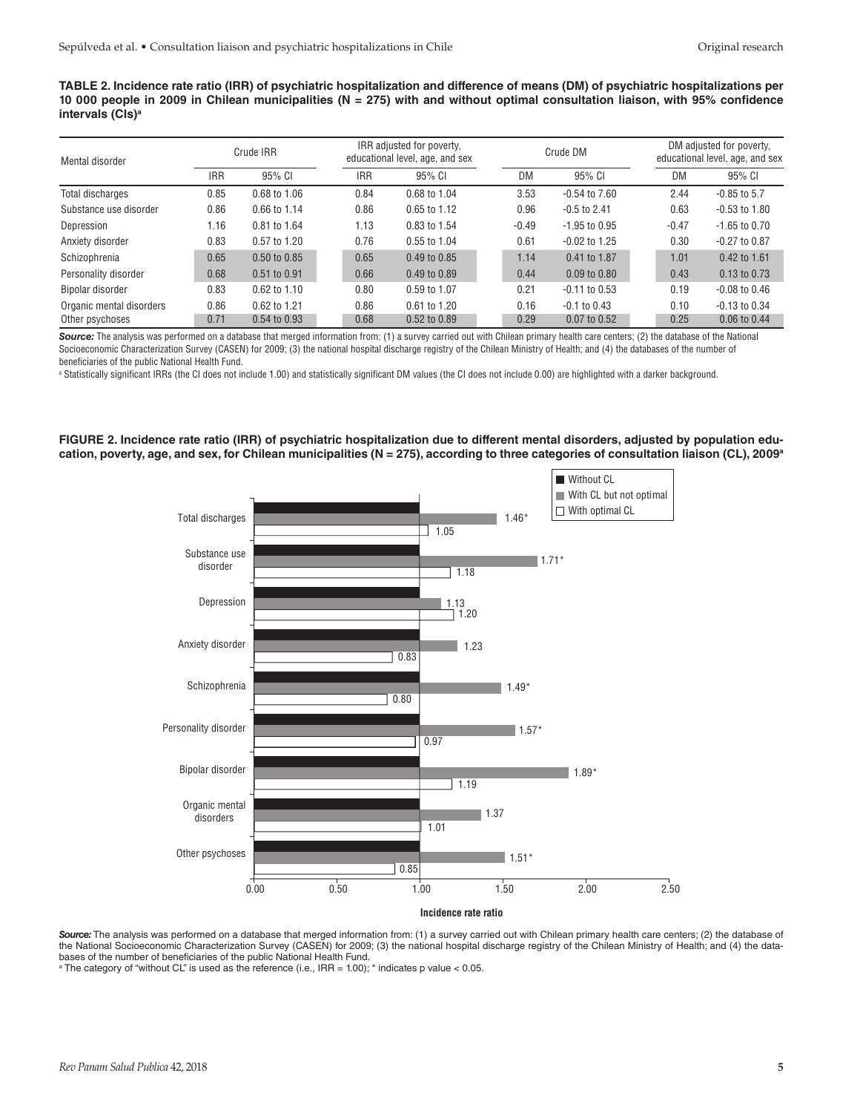**TABLE 2. Incidence rate ratio (IRR) of psychiatric hospitalization and difference of means (DM) of psychiatric hospitalizations per 10 000 people in 2009 in Chilean municipalities (N = 275) with and without optimal consultation liaison, with 95% confidence intervals (CIs)a** 

| Mental disorder          |            | Crude IRR    |  | IRR adjusted for poverty,<br>educational level, age, and sex |              |  | Crude DM |                   |  | DM adjusted for poverty,<br>educational level, age, and sex |                   |  |
|--------------------------|------------|--------------|--|--------------------------------------------------------------|--------------|--|----------|-------------------|--|-------------------------------------------------------------|-------------------|--|
|                          | <b>IRR</b> | 95% CI       |  | <b>IRR</b>                                                   | 95% CI       |  | DM       | 95% CI            |  | DM                                                          | 95% CI            |  |
| Total discharges         | 0.85       | 0.68 to 1.06 |  | 0.84                                                         | 0.68 to 1.04 |  | 3.53     | $-0.54$ to $7.60$ |  | 2.44                                                        | $-0.85$ to $5.7$  |  |
| Substance use disorder   | 0.86       | 0.66 to 1.14 |  | 0.86                                                         | 0.65 to 1.12 |  | 0.96     | $-0.5$ to 2.41    |  | 0.63                                                        | $-0.53$ to $1.80$ |  |
| Depression               | 1.16       | 0.81 to 1.64 |  | 1.13                                                         | 0.83 to 1.54 |  | $-0.49$  | $-1.95$ to 0.95   |  | $-0.47$                                                     | $-1.65$ to 0.70   |  |
| Anxiety disorder         | 0.83       | 0.57 to 1.20 |  | 0.76                                                         | 0.55 to 1.04 |  | 0.61     | $-0.02$ to 1.25   |  | 0.30                                                        | $-0.27$ to $0.87$ |  |
| Schizophrenia            | 0.65       | 0.50 to 0.85 |  | 0.65                                                         | 0.49 to 0.85 |  | 1.14     | 0.41 to 1.87      |  | 1.01                                                        | 0.42 to 1.61      |  |
| Personality disorder     | 0.68       | 0.51 to 0.91 |  | 0.66                                                         | 0.49 to 0.89 |  | 0.44     | $0.09$ to $0.80$  |  | 0.43                                                        | $0.13$ to $0.73$  |  |
| Bipolar disorder         | 0.83       | 0.62 to 1.10 |  | 0.80                                                         | 0.59 to 1.07 |  | 0.21     | $-0.11$ to $0.53$ |  | 0.19                                                        | $-0.08$ to $0.46$ |  |
| Organic mental disorders | 0.86       | 0.62 to 1.21 |  | 0.86                                                         | 0.61 to 1.20 |  | 0.16     | $-0.1$ to $0.43$  |  | 0.10                                                        | $-0.13$ to $0.34$ |  |
| Other psychoses          | 0.71       | 0.54 to 0.93 |  | 0.68                                                         | 0.52 to 0.89 |  | 0.29     | 0.07 to 0.52      |  | 0.25                                                        | 0.06 to 0.44      |  |

Source: The analysis was performed on a database that merged information from: (1) a survey carried out with Chilean primary health care centers; (2) the database of the National Socioeconomic Characterization Survey (CASEN) for 2009; (3) the national hospital discharge registry of the Chilean Ministry of Health; and (4) the databases of the number of beneficiaries of the public National Health Fund.

a Statistically significant IRRs (the CI does not include 1.00) and statistically significant DM values (the CI does not include 0.00) are highlighted with a darker background.

**FIGURE 2. Incidence rate ratio (IRR) of psychiatric hospitalization due to different mental disorders, adjusted by population edu**cation, poverty, age, and sex, for Chilean municipalities (N = 275), according to three categories of consultation liaison (CL), 2009<sup>a</sup>



Source: The analysis was performed on a database that merged information from: (1) a survey carried out with Chilean primary health care centers; (2) the database of the National Socioeconomic Characterization Survey (CASEN) for 2009; (3) the national hospital discharge registry of the Chilean Ministry of Health; and (4) the databases of the number of beneficiaries of the public National Health Fund.

a The category of "without CL" is used as the reference (i.e., IRR = 1.00); \* indicates p value < 0.05.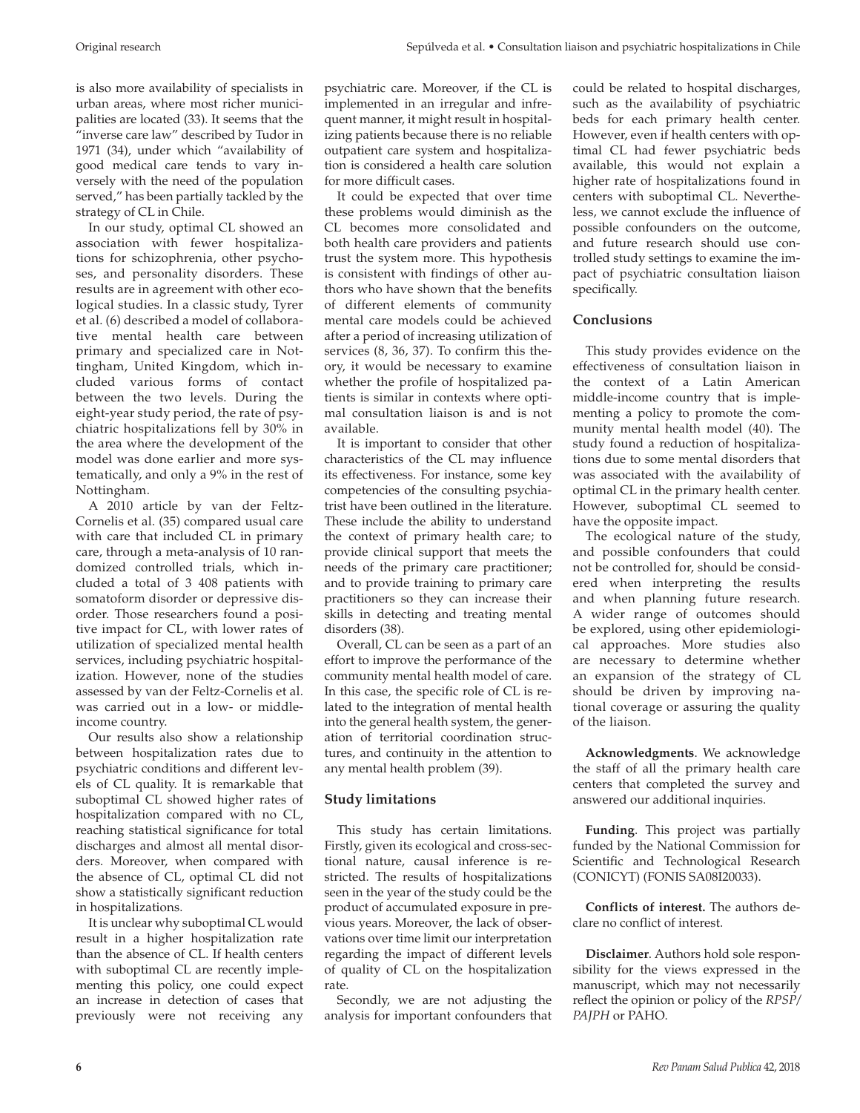is also more availability of specialists in urban areas, where most richer municipalities are located (33). It seems that the "inverse care law" described by Tudor in 1971 (34), under which "availability of good medical care tends to vary inversely with the need of the population served," has been partially tackled by the strategy of CL in Chile.

In our study, optimal CL showed an association with fewer hospitalizations for schizophrenia, other psychoses, and personality disorders. These results are in agreement with other ecological studies. In a classic study, Tyrer et al. (6) described a model of collaborative mental health care between primary and specialized care in Nottingham, United Kingdom, which included various forms of contact between the two levels. During the eight-year study period, the rate of psychiatric hospitalizations fell by 30% in the area where the development of the model was done earlier and more systematically, and only a 9% in the rest of Nottingham.

A 2010 article by van der Feltz-Cornelis et al. (35) compared usual care with care that included CL in primary care, through a meta-analysis of 10 randomized controlled trials, which included a total of 3 408 patients with somatoform disorder or depressive disorder. Those researchers found a positive impact for CL, with lower rates of utilization of specialized mental health services, including psychiatric hospitalization. However, none of the studies assessed by van der Feltz-Cornelis et al. was carried out in a low- or middleincome country.

Our results also show a relationship between hospitalization rates due to psychiatric conditions and different levels of CL quality. It is remarkable that suboptimal CL showed higher rates of hospitalization compared with no CL, reaching statistical significance for total discharges and almost all mental disorders. Moreover, when compared with the absence of CL, optimal CL did not show a statistically significant reduction in hospitalizations.

It is unclear why suboptimal CL would result in a higher hospitalization rate than the absence of CL. If health centers with suboptimal CL are recently implementing this policy, one could expect an increase in detection of cases that previously were not receiving any

psychiatric care. Moreover, if the CL is implemented in an irregular and infrequent manner, it might result in hospitalizing patients because there is no reliable outpatient care system and hospitalization is considered a health care solution for more difficult cases.

It could be expected that over time these problems would diminish as the CL becomes more consolidated and both health care providers and patients trust the system more. This hypothesis is consistent with findings of other authors who have shown that the benefits of different elements of community mental care models could be achieved after a period of increasing utilization of services (8, 36, 37). To confirm this theory, it would be necessary to examine whether the profile of hospitalized patients is similar in contexts where optimal consultation liaison is and is not available.

It is important to consider that other characteristics of the CL may influence its effectiveness. For instance, some key competencies of the consulting psychiatrist have been outlined in the literature. These include the ability to understand the context of primary health care; to provide clinical support that meets the needs of the primary care practitioner; and to provide training to primary care practitioners so they can increase their skills in detecting and treating mental disorders (38).

Overall, CL can be seen as a part of an effort to improve the performance of the community mental health model of care. In this case, the specific role of CL is related to the integration of mental health into the general health system, the generation of territorial coordination structures, and continuity in the attention to any mental health problem (39).

# **Study limitations**

This study has certain limitations. Firstly, given its ecological and cross-sectional nature, causal inference is restricted. The results of hospitalizations seen in the year of the study could be the product of accumulated exposure in previous years. Moreover, the lack of observations over time limit our interpretation regarding the impact of different levels of quality of CL on the hospitalization rate.

Secondly, we are not adjusting the analysis for important confounders that could be related to hospital discharges, such as the availability of psychiatric beds for each primary health center. However, even if health centers with optimal CL had fewer psychiatric beds available, this would not explain a higher rate of hospitalizations found in centers with suboptimal CL. Nevertheless, we cannot exclude the influence of possible confounders on the outcome, and future research should use controlled study settings to examine the impact of psychiatric consultation liaison specifically.

# **Conclusions**

This study provides evidence on the effectiveness of consultation liaison in the context of a Latin American middle-income country that is implementing a policy to promote the community mental health model (40). The study found a reduction of hospitalizations due to some mental disorders that was associated with the availability of optimal CL in the primary health center. However, suboptimal CL seemed to have the opposite impact.

The ecological nature of the study, and possible confounders that could not be controlled for, should be considered when interpreting the results and when planning future research. A wider range of outcomes should be explored, using other epidemiological approaches. More studies also are necessary to determine whether an expansion of the strategy of CL should be driven by improving national coverage or assuring the quality of the liaison.

**Acknowledgments**. We acknowledge the staff of all the primary health care centers that completed the survey and answered our additional inquiries.

**Funding**. This project was partially funded by the National Commission for Scientific and Technological Research (CONICYT) (FONIS SA08I20033).

**Conflicts of interest.** The authors declare no conflict of interest.

**Disclaimer**. Authors hold sole responsibility for the views expressed in the manuscript, which may not necessarily reflect the opinion or policy of the *RPSP/ PAJPH* or PAHO.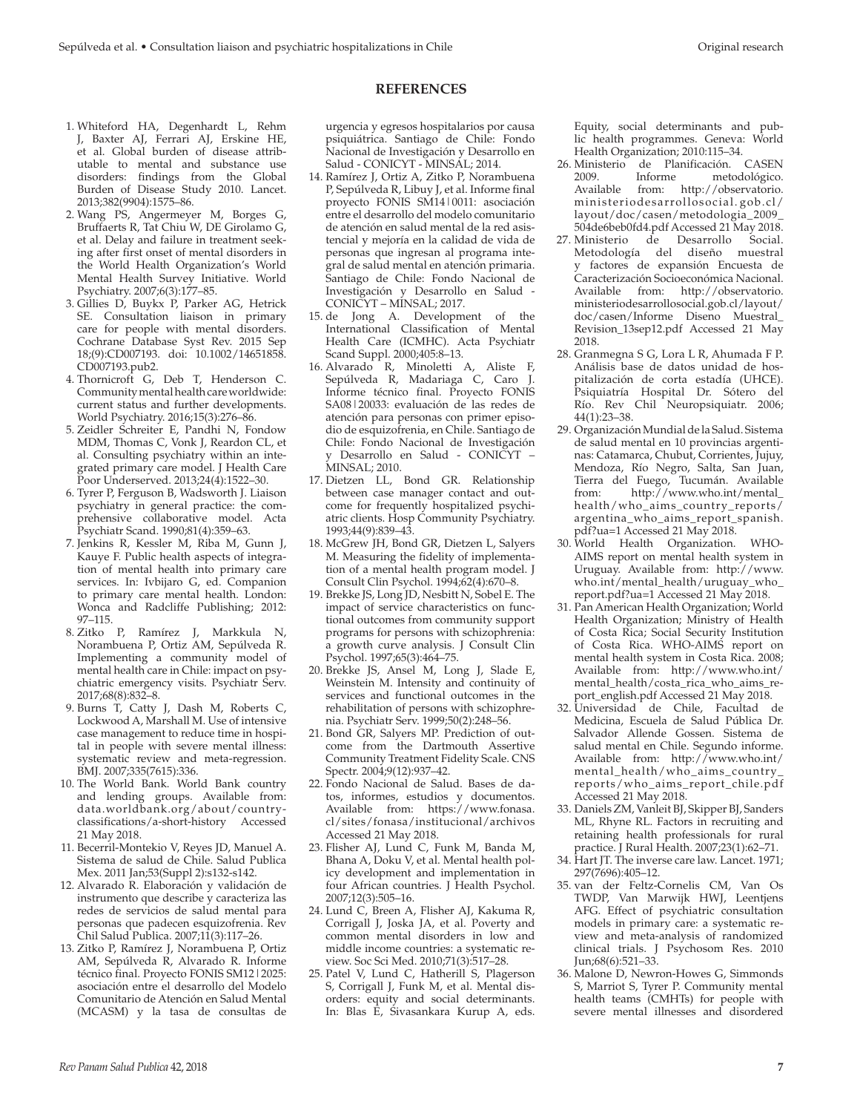### **REFERENCES**

- 1. Whiteford HA, Degenhardt L, Rehm J, Baxter AJ, Ferrari AJ, Erskine HE, et al. Global burden of disease attributable to mental and substance use disorders: findings from the Global Burden of Disease Study 2010. Lancet. 2013;382(9904):1575–86.
- 2. Wang PS, Angermeyer M, Borges G, Bruffaerts R, Tat Chiu W, DE Girolamo G, et al. Delay and failure in treatment seeking after first onset of mental disorders in the World Health Organization's World Mental Health Survey Initiative. World Psychiatry. 2007;6(3):177–85.
- 3. Gillies D, Buykx P, Parker AG, Hetrick SE. Consultation liaison in primary care for people with mental disorders. Cochrane Database Syst Rev. 2015 Sep 18;(9):CD007193. doi: 10.1002/14651858. CD007193.pub2.
- 4. Thornicroft G, Deb T, Henderson C. Community mental health care worldwide: current status and further developments. World Psychiatry. 2016;15(3):276–86.
- 5. Zeidler Schreiter E, Pandhi N, Fondow MDM, Thomas C, Vonk J, Reardon CL, et al. Consulting psychiatry within an integrated primary care model. J Health Care Poor Underserved. 2013;24(4):1522–30.
- 6. Tyrer P, Ferguson B, Wadsworth J. Liaison psychiatry in general practice: the comprehensive collaborative model. Acta Psychiatr Scand. 1990;81(4):359–63.
- 7. Jenkins R, Kessler M, Riba M, Gunn J, Kauye F. Public health aspects of integration of mental health into primary care services. In: Ivbijaro G, ed. Companion to primary care mental health. London: Wonca and Radcliffe Publishing; 2012: 97–115.
- 8. Zitko P, Ramírez J, Markkula N, Norambuena P, Ortiz AM, Sepúlveda R. Implementing a community model of mental health care in Chile: impact on psychiatric emergency visits. Psychiatr Serv. 2017;68(8):832–8.
- 9. Burns T, Catty J, Dash M, Roberts C, Lockwood A, Marshall M. Use of intensive case management to reduce time in hospital in people with severe mental illness: systematic review and meta-regression. BMJ. 2007;335(7615):336.
- 10. The World Bank. World Bank country and lending groups. Available from: data.worldbank.org/about/countryclassifications/a-short-history Accessed 21 May 2018.
- 11. Becerril-Montekio V, Reyes JD, Manuel A. Sistema de salud de Chile. Salud Publica Mex. 2011 Jan;53(Suppl 2):s132-s142.
- 12. Alvarado R. Elaboración y validación de instrumento que describe y caracteriza las redes de servicios de salud mental para personas que padecen esquizofrenia. Rev Chil Salud Publica. 2007;11(3):117–26.
- 13. Zitko P, Ramírez J, Norambuena P, Ortiz AM, Sepúlveda R, Alvarado R. Informe técnico final. Proyecto FONIS SM12|2025: asociación entre el desarrollo del Modelo Comunitario de Atención en Salud Mental (MCASM) y la tasa de consultas de

urgencia y egresos hospitalarios por causa psiquiátrica. Santiago de Chile: Fondo Nacional de Investigación y Desarrollo en Salud - CONICYT - MINSAL; 2014.

- 14. Ramírez J, Ortiz A, Zitko P, Norambuena P, Sepúlveda R, Libuy J, et al. Informe final proyecto FONIS SM14|0011: asociación entre el desarrollo del modelo comunitario de atención en salud mental de la red asistencial y mejoría en la calidad de vida de personas que ingresan al programa integral de salud mental en atención primaria. Santiago de Chile: Fondo Nacional de Investigación y Desarrollo en Salud - CONICYT – MINSAL; 2017.
- 15. de Jong A. Development of the International Classification of Mental Health Care (ICMHC). Acta Psychiatr Scand Suppl. 2000;405:8–13.
- 16. Alvarado R, Minoletti A, Aliste F, Sepúlveda R, Madariaga C, Caro J. Informe técnico final. Proyecto FONIS SA08|20033: evaluación de las redes de atención para personas con primer episodio de esquizofrenia, en Chile. Santiago de Chile: Fondo Nacional de Investigación y Desarrollo en Salud - CONICYT – MINSAL; 2010.
- 17. Dietzen LL, Bond GR. Relationship between case manager contact and outcome for frequently hospitalized psychiatric clients. Hosp Community Psychiatry. 1993;44(9):839–43.
- 18. McGrew JH, Bond GR, Dietzen L, Salyers M. Measuring the fidelity of implementation of a mental health program model. J Consult Clin Psychol. 1994;62(4):670–8.
- 19. Brekke JS, Long JD, Nesbitt N, Sobel E. The impact of service characteristics on functional outcomes from community support programs for persons with schizophrenia: a growth curve analysis. J Consult Clin Psychol. 1997;65(3):464–75.
- 20. Brekke JS, Ansel M, Long J, Slade E, Weinstein M. Intensity and continuity of services and functional outcomes in the rehabilitation of persons with schizophrenia. Psychiatr Serv. 1999;50(2):248–56.
- 21. Bond GR, Salyers MP. Prediction of outcome from the Dartmouth Assertive Community Treatment Fidelity Scale. CNS Spectr. 2004;9(12):937–42.
- 22. Fondo Nacional de Salud. Bases de datos, informes, estudios y documentos. Available from: [https://www.fonasa.](https://www.fonasa.cl/sites/fonasa/institucional/archivos) [cl/sites/fonasa/institucional/archivos](https://www.fonasa.cl/sites/fonasa/institucional/archivos) Accessed 21 May 2018.
- 23. Flisher AJ, Lund C, Funk M, Banda M, Bhana A, Doku V, et al. Mental health policy development and implementation in four African countries. J Health Psychol. 2007;12(3):505–16.
- 24. Lund C, Breen A, Flisher AJ, Kakuma R, Corrigall J, Joska JA, et al. Poverty and common mental disorders in low and middle income countries: a systematic review. Soc Sci Med. 2010;71(3):517–28.
- 25. Patel V, Lund C, Hatherill S, Plagerson S, Corrigall J, Funk M, et al. Mental disorders: equity and social determinants. In: Blas E, Sivasankara Kurup A, eds.

Equity, social determinants and public health programmes. Geneva: World Health Organization; 2010:115–34.

- 26. Ministerio de Planificación. CASEN 2009. Informe metodológico. Available from: [http://observatorio.](http://observatorio.ministeriodesarrollosocial.gob.cl/layout/doc/casen/metodologia_2009_504de6beb0fd4.pdf) [ministeriodesarrollosocial.](http://observatorio.ministeriodesarrollosocial.gob.cl/layout/doc/casen/metodologia_2009_504de6beb0fd4.pdf) gob.cl/ [layout/doc/casen/metodologia\\_2009\\_](http://observatorio.ministeriodesarrollosocial.gob.cl/layout/doc/casen/metodologia_2009_504de6beb0fd4.pdf) [504de6beb0fd4.pdf](http://observatorio.ministeriodesarrollosocial.gob.cl/layout/doc/casen/metodologia_2009_504de6beb0fd4.pdf) Accessed 21 May 2018.
- 27. Ministerio de Desarrollo Social. Metodología del diseño muestral factores de expansión Encuesta de Caracterización Socioeconómica Nacional. Available from: [http://observatorio.](http://observatorio.ministeriodesarrollosocial.gob.cl/layout/doc/casen/Informe) [ministeriodesarrollosocial.gob.cl/layout/](http://observatorio.ministeriodesarrollosocial.gob.cl/layout/doc/casen/Informe) [doc/casen/Informe](http://observatorio.ministeriodesarrollosocial.gob.cl/layout/doc/casen/Informe) Diseno Muestral\_ Revision\_13sep12.pdf Accessed 21 May 2018.
- 28. Granmegna S G, Lora L R, Ahumada F P. Análisis base de datos unidad de hospitalización de corta estadía (UHCE). Psiquiatría Hospital Dr. Sótero del Río. Rev Chil Neuropsiquiatr. 2006; 44(1):23–38.
- 29. Organización Mundial de la Salud. Sistema de salud mental en 10 provincias argentinas: Catamarca, Chubut, Corrientes, Jujuy, Mendoza, Río Negro, Salta, San Juan, Tierra del Fuego, Tucumán. Available from: [http://www.who.int/mental\\_](http://www.who.int/mental_health/who_aims_country_reports/argentina_who_aims_report_spanish.pdf?ua=1) [health/who\\_aims\\_country\\_reports/](http://www.who.int/mental_health/who_aims_country_reports/argentina_who_aims_report_spanish.pdf?ua=1) [argentina\\_who\\_aims\\_report\\_spanish.](http://www.who.int/mental_health/who_aims_country_reports/argentina_who_aims_report_spanish.pdf?ua=1) [pdf?ua=1](http://www.who.int/mental_health/who_aims_country_reports/argentina_who_aims_report_spanish.pdf?ua=1) Accessed 21 May 2018.
- 30. World Health Organization. WHO-AIMS report on mental health system in Uruguay. Available from: [http://www.](http://www.who.int/mental_health/uruguay_who_report.pdf?ua=1) [who.int/mental\\_health/uruguay\\_who\\_](http://www.who.int/mental_health/uruguay_who_report.pdf?ua=1) [report.pdf?ua=1](http://www.who.int/mental_health/uruguay_who_report.pdf?ua=1) Accessed 21 May 2018.
- 31. Pan American Health Organization; World Health Organization; Ministry of Health of Costa Rica; Social Security Institution of Costa Rica. WHO-AIMS report on mental health system in Costa Rica. 2008; Available from: [http://www.who.int/](http://www.who.int/mental_health/costa_rica_who_aims_report_english.pdf) [mental\\_health/costa\\_rica\\_who\\_aims\\_re](http://www.who.int/mental_health/costa_rica_who_aims_report_english.pdf)[port\\_english.pdf](http://www.who.int/mental_health/costa_rica_who_aims_report_english.pdf) Accessed 21 May 2018.
- 32. Universidad de Chile, Facultad de Medicina, Escuela de Salud Pública Dr. Salvador Allende Gossen. Sistema de salud mental en Chile. Segundo informe. Available from: [http://www.who.int/](http://www.who.int/mental_health/who_aims_country_reports/who_aims_report_chile.pdf) [mental\\_health/who\\_aims\\_country\\_](http://www.who.int/mental_health/who_aims_country_reports/who_aims_report_chile.pdf) [reports/who\\_aims\\_report\\_chile.pdf](http://www.who.int/mental_health/who_aims_country_reports/who_aims_report_chile.pdf) Accessed 21 May 2018.
- 33. Daniels ZM, Vanleit BJ, Skipper BJ, Sanders ML, Rhyne RL. Factors in recruiting and retaining health professionals for rural practice. J Rural Health. 2007;23(1):62–71.
- 34. Hart JT. The inverse care law. Lancet. 1971; 297(7696):405–12.
- 35. van der Feltz-Cornelis CM, Van Os TWDP, Van Marwijk HWJ, Leentjens AFG. Effect of psychiatric consultation models in primary care: a systematic review and meta-analysis of randomized clinical trials. J Psychosom Res. 2010 Jun;68(6):521–33.
- 36. Malone D, Newron-Howes G, Simmonds S, Marriot S, Tyrer P. Community mental health teams (CMHTs) for people with severe mental illnesses and disordered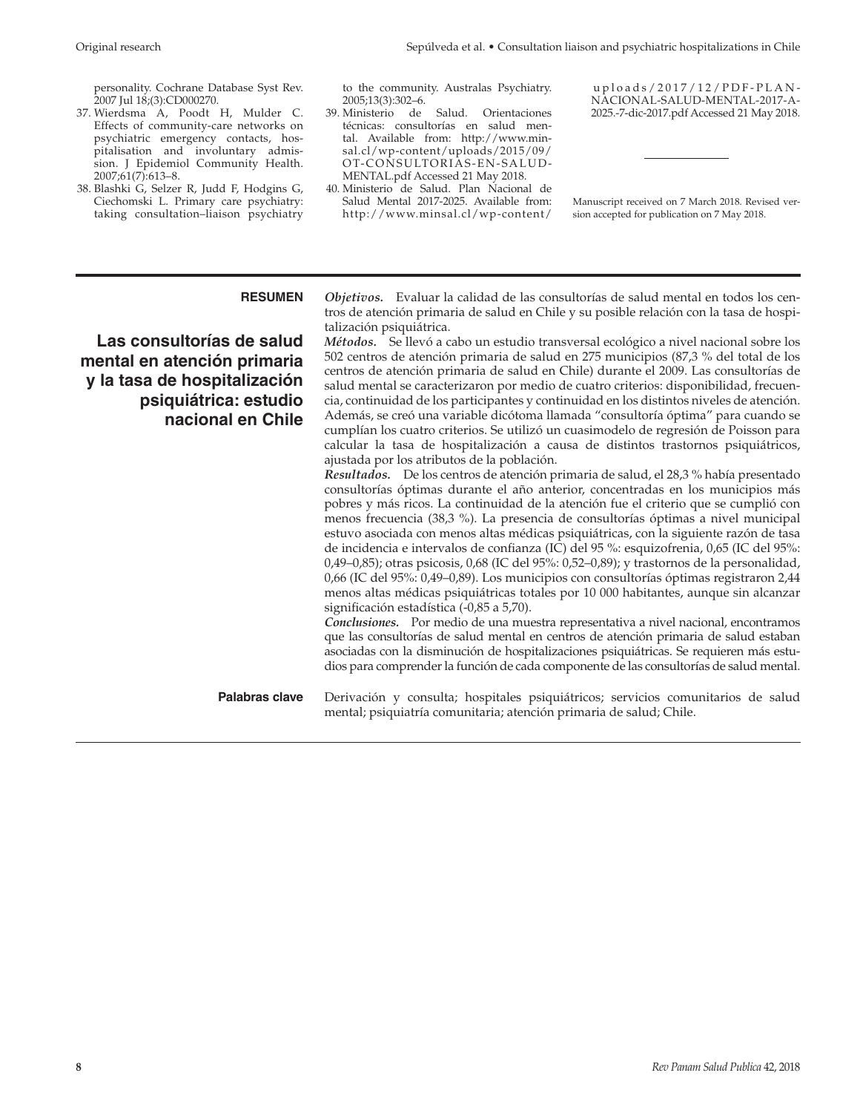personality. Cochrane Database Syst Rev. 2007 Jul 18;(3):CD000270.

- 37. Wierdsma A, Poodt H, Mulder C. Effects of community-care networks on psychiatric emergency contacts, hospitalisation and involuntary admission. J Epidemiol Community Health. 2007;61(7):613–8.
- 38. Blashki G, Selzer R, Judd F, Hodgins G, Ciechomski L. Primary care psychiatry: taking consultation–liaison psychiatry

to the community. Australas Psychiatry.

- 2005;13(3):302–6.<br>39. Ministerio de Salud. Orientaciones técnicas: consultorías en salud mental. Available from: [http://www.min](http://www.minsal.cl/wp-content/uploads/2015/09/OT-CONSULTORIAS-EN-SALUD-MENTAL.pdf)[sal.cl/wp-content/uploads/2015/09/](http://www.minsal.cl/wp-content/uploads/2015/09/OT-CONSULTORIAS-EN-SALUD-MENTAL.pdf) [OT-CONSULTORIAS-EN-SALUD-](http://www.minsal.cl/wp-content/uploads/2015/09/OT-CONSULTORIAS-EN-SALUD-MENTAL.pdf)[MENTAL.pdf](http://www.minsal.cl/wp-content/uploads/2015/09/OT-CONSULTORIAS-EN-SALUD-MENTAL.pdf) Accessed 21 May 2018.
- 40. Ministerio de Salud. Plan Nacional de Salud Mental 2017-2025. Available from: [http://www.minsal.cl/wp-content/](http://www.minsal.cl/wp-content/uploads/2017/12/PDF-PLAN-NACIONAL-SALUD-MENTAL-2017-A-2025.-7-dic-2017.pdf)

 [uploads/2017/12/PDF-PLAN-](http://www.minsal.cl/wp-content/uploads/2017/12/PDF-PLAN-NACIONAL-SALUD-MENTAL-2017-A-2025.-7-dic-2017.pdf)[NACIONAL-SALUD-MENTAL-2017-A-](http://www.minsal.cl/wp-content/uploads/2017/12/PDF-PLAN-NACIONAL-SALUD-MENTAL-2017-A-2025.-7-dic-2017.pdf)[2025.-7-dic-2017.pdf](http://www.minsal.cl/wp-content/uploads/2017/12/PDF-PLAN-NACIONAL-SALUD-MENTAL-2017-A-2025.-7-dic-2017.pdf) Accessed 21 May 2018.

Manuscript received on 7 March 2018. Revised version accepted for publication on 7 May 2018.

**Las consultorías de salud mental en atención primaria y la tasa de hospitalización psiquiátrica: estudio nacional en Chile**

**RESUMEN** *Objetivos.* Evaluar la calidad de las consultorías de salud mental en todos los centros de atención primaria de salud en Chile y su posible relación con la tasa de hospitalización psiquiátrica.

> *Métodos.* Se llevó a cabo un estudio transversal ecológico a nivel nacional sobre los 502 centros de atención primaria de salud en 275 municipios (87,3 % del total de los centros de atención primaria de salud en Chile) durante el 2009. Las consultorías de salud mental se caracterizaron por medio de cuatro criterios: disponibilidad, frecuencia, continuidad de los participantes y continuidad en los distintos niveles de atención. Además, se creó una variable dicótoma llamada "consultoría óptima" para cuando se cumplían los cuatro criterios. Se utilizó un cuasimodelo de regresión de Poisson para calcular la tasa de hospitalización a causa de distintos trastornos psiquiátricos, ajustada por los atributos de la población.

> *Resultados.* De los centros de atención primaria de salud, el 28,3 % había presentado consultorías óptimas durante el año anterior, concentradas en los municipios más pobres y más ricos. La continuidad de la atención fue el criterio que se cumplió con menos frecuencia (38,3 %). La presencia de consultorías óptimas a nivel municipal estuvo asociada con menos altas médicas psiquiátricas, con la siguiente razón de tasa de incidencia e intervalos de confianza (IC) del 95 %: esquizofrenia, 0,65 (IC del 95%: 0,49–0,85); otras psicosis, 0,68 (IC del 95%: 0,52–0,89); y trastornos de la personalidad, 0,66 (IC del 95%: 0,49–0,89). Los municipios con consultorías óptimas registraron 2,44 menos altas médicas psiquiátricas totales por 10 000 habitantes, aunque sin alcanzar significación estadística (-0,85 a 5,70).

> *Conclusiones.* Por medio de una muestra representativa a nivel nacional, encontramos que las consultorías de salud mental en centros de atención primaria de salud estaban asociadas con la disminución de hospitalizaciones psiquiátricas. Se requieren más estudios para comprender la función de cada componente de las consultorías de salud mental.

**Palabras clave** Derivación y consulta; hospitales psiquiátricos; servicios comunitarios de salud mental; psiquiatría comunitaria; atención primaria de salud; Chile.